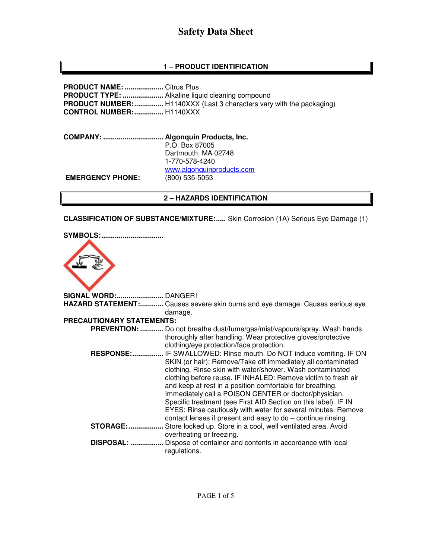# **Safety Data Sheet**

# **1 – PRODUCT IDENTIFICATION**

**PRODUCT NAME: ....................** Citrus Plus **PRODUCT TYPE: .....................** Alkaline liquid cleaning compound **PRODUCT NUMBER:** ................. H1140XXX (Last 3 characters vary with the packaging) **CONTROL NUMBER: ...............** H1140XXX

**COMPANY: ............................... Algonquin Products, Inc.** P.O. Box 87005 Dartmouth, MA 02748 1-770-578-4240 www.algonquinproducts.com **EMERGENCY PHONE:** (800) 535-5053

#### **2 – HAZARDS IDENTIFICATION**

**CLASSIFICATION OF SUBSTANCE/MIXTURE:.....** Skin Corrosion (1A) Serious Eye Damage (1)

| <b>SYMBOLS:</b>                  |                                                                                                                                                                                                                                                                                                                                                                                         |
|----------------------------------|-----------------------------------------------------------------------------------------------------------------------------------------------------------------------------------------------------------------------------------------------------------------------------------------------------------------------------------------------------------------------------------------|
| <b>SIGNAL WORD: DANGER!</b>      |                                                                                                                                                                                                                                                                                                                                                                                         |
|                                  | HAZARD STATEMENT: Causes severe skin burns and eye damage. Causes serious eye                                                                                                                                                                                                                                                                                                           |
|                                  | damage.                                                                                                                                                                                                                                                                                                                                                                                 |
| <b>PRECAUTIONARY STATEMENTS:</b> |                                                                                                                                                                                                                                                                                                                                                                                         |
|                                  | <b>PREVENTION:</b> Do not breathe dust/fume/gas/mist/vapours/spray. Wash hands                                                                                                                                                                                                                                                                                                          |
| <b>RESPONSE:</b>                 | thoroughly after handling. Wear protective gloves/protective<br>clothing/eye protection/face protection.<br>IF SWALLOWED: Rinse mouth. Do NOT induce vomiting. IF ON<br>SKIN (or hair): Remove/Take off immediately all contaminated<br>clothing. Rinse skin with water/shower. Wash contaminated                                                                                       |
|                                  | clothing before reuse. IF INHALED: Remove victim to fresh air<br>and keep at rest in a position comfortable for breathing.<br>Immediately call a POISON CENTER or doctor/physician.<br>Specific treatment (see First AID Section on this label). IF IN<br>EYES: Rinse cautiously with water for several minutes. Remove<br>contact lenses if present and easy to do - continue rinsing. |
| <b>STORAGE:</b>                  | Store locked up. Store in a cool, well ventilated area. Avoid                                                                                                                                                                                                                                                                                                                           |
|                                  | overheating or freezing.                                                                                                                                                                                                                                                                                                                                                                |
| <b>DISPOSAL: </b>                | Dispose of container and contents in accordance with local<br>regulations.                                                                                                                                                                                                                                                                                                              |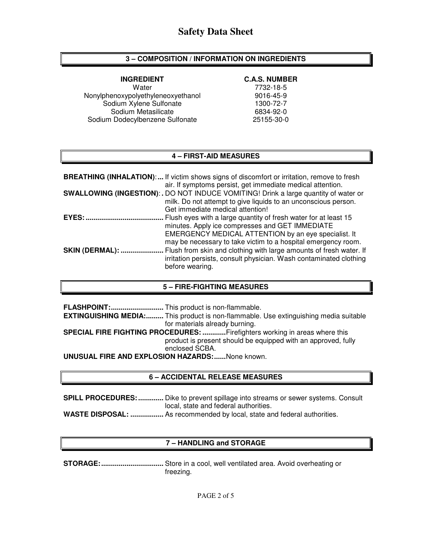# **3 – COMPOSITION / INFORMATION ON INGREDIENTS**

Water 7732-18-5 Nonylphenoxypolyethyleneoxyethanol 9016-45-9<br>Sodium Xylene Sulfonate 1300-72-7 Sodium Xylene Sulfonate Sodium Metasilicate 6834-92-0 Sodium Dodecylbenzene Sulfonate 25155-30-0

#### **INGREDIENT C.A.S. NUMBER**

## **4 – FIRST-AID MEASURES**

|                        | <b>BREATHING (INHALATION):</b> If victim shows signs of discomfort or irritation, remove to fresh<br>air. If symptoms persist, get immediate medical attention.                                                                             |
|------------------------|---------------------------------------------------------------------------------------------------------------------------------------------------------------------------------------------------------------------------------------------|
|                        | <b>SWALLOWING (INGESTION):.</b> DO NOT INDUCE VOMITING! Drink a large quantity of water or<br>milk. Do not attempt to give liquids to an unconscious person.<br>Get immediate medical attention!                                            |
| EYES:                  | Flush eyes with a large quantity of fresh water for at least 15<br>minutes. Apply ice compresses and GET IMMEDIATE<br>EMERGENCY MEDICAL ATTENTION by an eye specialist. It<br>may be necessary to take victim to a hospital emergency room. |
| <b>SKIN (DERMAL): </b> | Flush from skin and clothing with large amounts of fresh water. If<br>irritation persists, consult physician. Wash contaminated clothing<br>before wearing.                                                                                 |

#### **5 – FIRE-FIGHTING MEASURES**

|                                                        | <b>EXTINGUISHING MEDIA:</b> This product is non-flammable. Use extinguishing media suitable |  |  |
|--------------------------------------------------------|---------------------------------------------------------------------------------------------|--|--|
|                                                        | for materials already burning.                                                              |  |  |
|                                                        | <b>SPECIAL FIRE FIGHTING PROCEDURES: Firefighters working in areas where this</b>           |  |  |
|                                                        | product is present should be equipped with an approved, fully                               |  |  |
|                                                        | enclosed SCBA.                                                                              |  |  |
| <b>UNUSUAL FIRE AND EXPLOSION HAZARDS:</b> None known. |                                                                                             |  |  |

#### **6 – ACCIDENTAL RELEASE MEASURES**

**SPILL PROCEDURES: .............** Dike to prevent spillage into streams or sewer systems. Consult local, state and federal authorities. **WASTE DISPOSAL: .................** As recommended by local, state and federal authorities.

# **7 – HANDLING and STORAGE**

**STORAGE: ................................** Store in a cool, well ventilated area. Avoid overheating or freezing.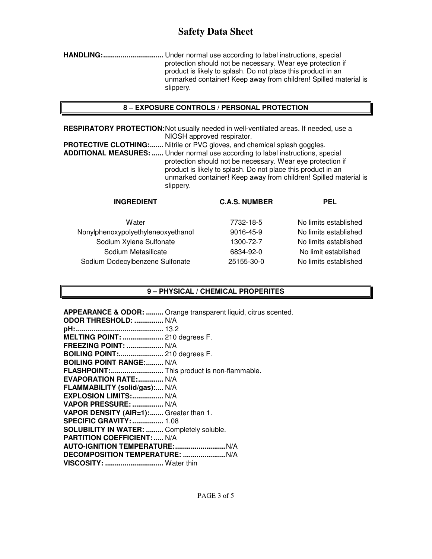# **Safety Data Sheet**

**HANDLING: ...............................** Under normal use according to label instructions, special protection should not be necessary. Wear eye protection if product is likely to splash. Do not place this product in an unmarked container! Keep away from children! Spilled material is slippery.

## **8 – EXPOSURE CONTROLS / PERSONAL PROTECTION**

**RESPIRATORY PROTECTION:** Not usually needed in well-ventilated areas. If needed, use a NIOSH approved respirator.

**PROTECTIVE CLOTHING:.......** Nitrile or PVC gloves, and chemical splash goggles. **ADDITIONAL MEASURES: ......** Under normal use according to label instructions, special protection should not be necessary. Wear eye protection if product is likely to splash. Do not place this product in an unmarked container! Keep away from children! Spilled material is slippery.

| <b>INGREDIENT</b>                  | <b>C.A.S. NUMBER</b> | <b>PEL</b>            |
|------------------------------------|----------------------|-----------------------|
| Water                              | 7732-18-5            | No limits established |
| Nonylphenoxypolyethyleneoxyethanol | 9016-45-9            | No limits established |
| Sodium Xylene Sulfonate            | 1300-72-7            | No limits established |
| Sodium Metasilicate                | 6834-92-0            | No limit established  |
| Sodium Dodecylbenzene Sulfonate    | 25155-30-0           | No limits established |

# **9 – PHYSICAL / CHEMICAL PROPERITES**

**APPEARANCE & ODOR: .........** Orange transparent liquid, citrus scented. **ODOR THRESHOLD: ...............** N/A **pH: .............................................** 13.2 **MELTING POINT: .....................** 210 degrees F. **FREEZING POINT: ...................** N/A **BOILING POINT:.......................** 210 degrees F. **BOILING POINT RANGE:......... N/A FLASHPOINT: ...........................** This product is non-flammable. **EVAPORATION RATE:.............. N/A FLAMMABILITY (solid/gas):....** N/A **EXPLOSION LIMITS: ................** N/A **VAPOR PRESSURE: ................** N/A **VAPOR DENSITY (AIR=1): .......** Greater than 1. **SPECIFIC GRAVITY: ................** 1.08 **SOLUBILITY IN WATER: .........** Completely soluble. **PARTITION COEFFICIENT: .....** N/A **AUTO-IGNITION TEMPERATURE: ..........................** N/A **DECOMPOSITION TEMPERATURE: ......................** N/A **VISCOSITY: ..............................** Water thin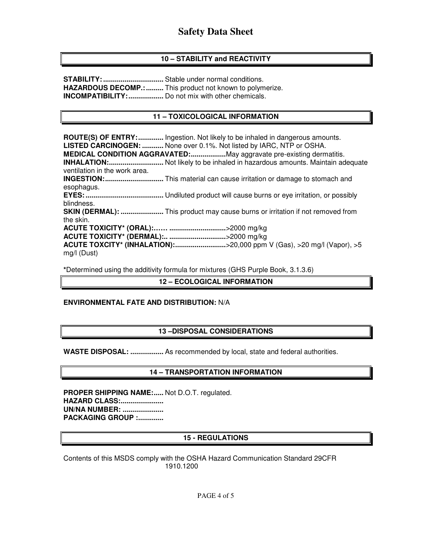# **10 – STABILITY and REACTIVITY**

**STABILITY: ...............................** Stable under normal conditions. **HAZARDOUS DECOMP.: .........** This product not known to polymerize. **INCOMPATIBILITY: ..................** Do not mix with other chemicals.

## **11 – TOXICOLOGICAL INFORMATION**

**ROUTE(S) OF ENTRY: .............** Ingestion. Not likely to be inhaled in dangerous amounts. **LISTED CARCINOGEN: ...........** None over 0.1%. Not listed by IARC, NTP or OSHA. **MEDICAL CONDITION AGGRAVATED: ..................** May aggravate pre-existing dermatitis. **INHALATION: ............................** Not likely to be inhaled in hazardous amounts. Maintain adequate ventilation in the work area. **INGESTION: ..............................** This material can cause irritation or damage to stomach and esophagus. **EYES: ........................................** Undiluted product will cause burns or eye irritation, or possibly blindness. **SKIN (DERMAL): ......................** This product may cause burns or irritation if not removed from the skin. **ACUTE TOXICITY\* (ORAL):…… .............................** >2000 mg/kg **ACUTE TOXICITY\* (DERMAL):.. .............................** >2000 mg/kg **ACUTE TOXCITY\* (INHALATION):................................>20,000 ppm V (Gas), >20 mg/l (Vapor), >5** mg/l (Dust)

**\***Determined using the additivity formula for mixtures (GHS Purple Book, 3.1.3.6)

#### **12 – ECOLOGICAL INFORMATION**

#### **ENVIRONMENTAL FATE AND DISTRIBUTION:** N/A

#### **13 –DISPOSAL CONSIDERATIONS**

**WASTE DISPOSAL: .................** As recommended by local, state and federal authorities.

# **14 – TRANSPORTATION INFORMATION**

PROPER SHIPPING NAME:..... Not D.O.T. regulated. **HAZARD CLASS:...................... UN/NA NUMBER: ..................... PACKAGING GROUP :.............** 

#### **15 - REGULATIONS**

Contents of this MSDS comply with the OSHA Hazard Communication Standard 29CFR 1910.1200

PAGE 4 of 5